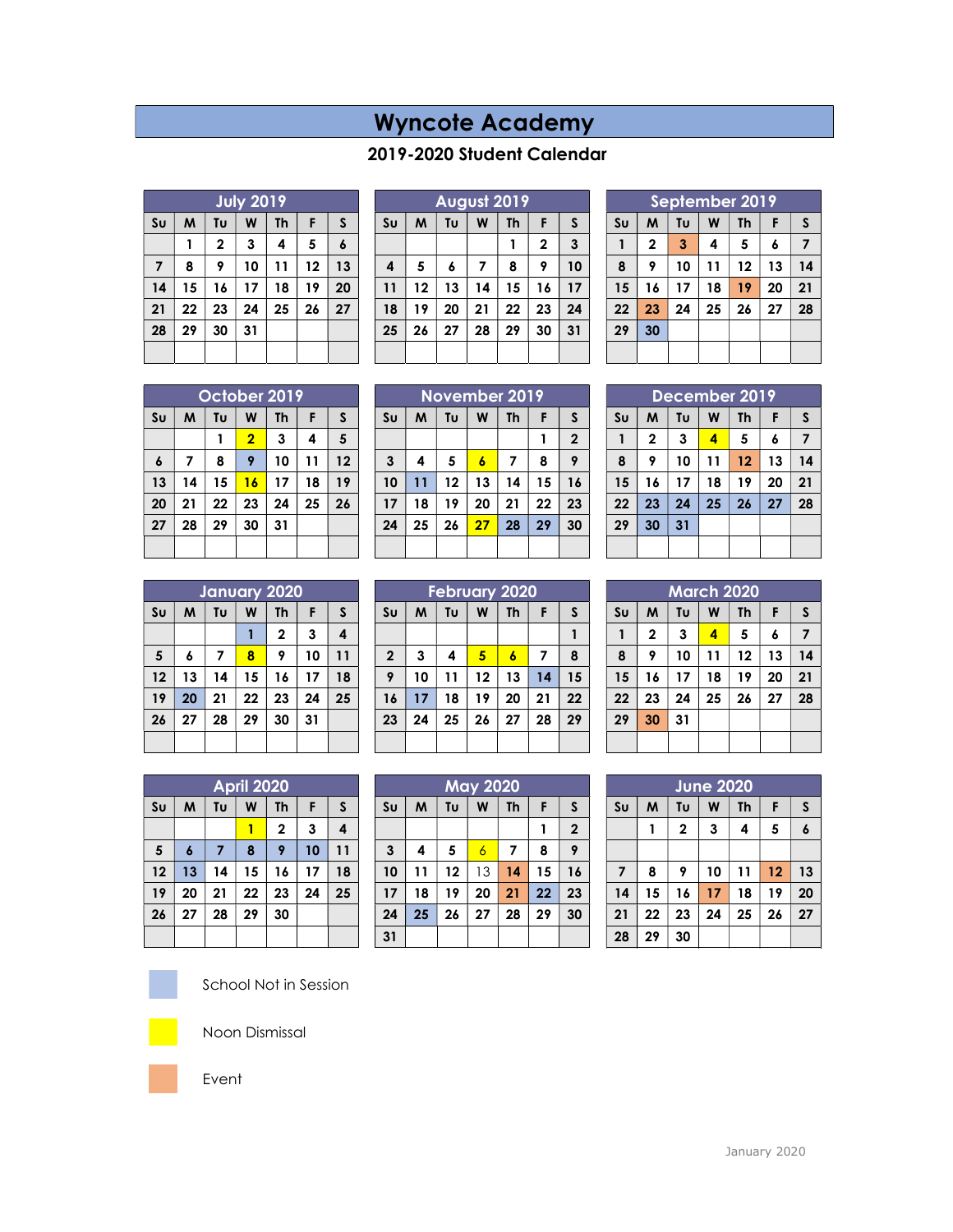## Wyncote Academy

## 2019-2020 Student Calendar

| <b>July 2019</b> |    |             |    |                         |    |                  |  |  |
|------------------|----|-------------|----|-------------------------|----|------------------|--|--|
| Su               | M  | Tυ          | W  | Th                      | F  | S                |  |  |
|                  | 1  | $\mathbf 2$ | 3  | $\overline{\mathbf{4}}$ | 5  | $\boldsymbol{6}$ |  |  |
| 7                | 8  | 9           | 10 | 11                      | 12 | 13               |  |  |
| 14               | 15 | 16          | 17 | 18                      | 19 | 20               |  |  |
| 21               | 22 | 23          | 24 | 25                      | 26 | 27               |  |  |
| 28               | 29 | 30          | 31 |                         |    |                  |  |  |
|                  |    |             |    |                         |    |                  |  |  |

|                         | <b>August 2019</b> |                    |    |    |             |    |  |  |  |
|-------------------------|--------------------|--------------------|----|----|-------------|----|--|--|--|
| S <sub>U</sub>          | M                  | W<br>Tυ<br>Th<br>F |    |    |             |    |  |  |  |
|                         |                    |                    |    |    | $\mathbf 2$ | 3  |  |  |  |
| $\overline{\mathbf{4}}$ | 5                  | 6                  | 7  | 8  | 9           | 10 |  |  |  |
| 11                      | 12                 | 13                 | 14 | 15 | 16          | 17 |  |  |  |
| 18                      | 19                 | 20                 | 21 | 22 | 23          | 24 |  |  |  |
| 25                      | 26                 | 27                 | 28 | 29 | 30          | 31 |  |  |  |
|                         |                    |                    |    |    |             |    |  |  |  |

| September 2019 |                                                |                |    |    |    |    |  |  |
|----------------|------------------------------------------------|----------------|----|----|----|----|--|--|
| S <sub>U</sub> | M<br>Tυ<br>W<br><b>Th</b><br>$\mathsf{s}$<br>F |                |    |    |    |    |  |  |
|                | $\mathbf{2}$                                   | $\overline{3}$ | 4  | 5  | 6  | 7  |  |  |
| 8              | 9                                              | 10             | 11 | 12 | 13 | 14 |  |  |
| 15             | 16                                             | 17             | 18 | 19 | 20 | 21 |  |  |
| 22             | 23                                             | 24             | 25 | 26 | 27 | 28 |  |  |
| 29             | 30                                             |                |    |    |    |    |  |  |
|                |                                                |                |    |    |    |    |  |  |

|                  | October 2019 |    |                |           |    |    |  |  |  |
|------------------|--------------|----|----------------|-----------|----|----|--|--|--|
| Su               | M            | Tυ | W              | <b>Th</b> | F  | S  |  |  |  |
|                  |              |    | $\overline{2}$ | 3         | 4  | 5  |  |  |  |
| $\boldsymbol{6}$ | 7            | 8  | 9              | 10        | 11 | 12 |  |  |  |
| 13               | 14           | 15 | 16             | 17        | 18 | 19 |  |  |  |
| 20               | 21           | 22 | 23             | 24        | 25 | 26 |  |  |  |
| 27               | 28           | 29 | 30             | 31        |    |    |  |  |  |
|                  |              |    |                |           |    |    |  |  |  |

| November 2019  |                                     |    |                  |    |    |                  |  |  |
|----------------|-------------------------------------|----|------------------|----|----|------------------|--|--|
| S <sub>U</sub> | W<br>Tυ<br>M<br><b>Th</b><br>S<br>F |    |                  |    |    |                  |  |  |
|                |                                     |    |                  |    |    | $\boldsymbol{2}$ |  |  |
| $\mathbf{3}$   | 4                                   | 5  | $\boldsymbol{6}$ | 7  | 8  | 9                |  |  |
| 10             | 11                                  | 12 | 13               | 14 | 15 | 16               |  |  |
| 17             | 18                                  | 19 | 20               | 21 | 22 | 23               |  |  |
| 24             | 25                                  | 26 | 27               | 28 | 29 | 30               |  |  |
|                |                                     |    |                  |    |    |                  |  |  |

| December 2019 |             |    |    |           |    |    |  |  |  |
|---------------|-------------|----|----|-----------|----|----|--|--|--|
| Su            | M           | Tυ | W  | <b>Th</b> | F  | S  |  |  |  |
| $\mathbf{1}$  | $\mathbf 2$ | 3  | 4  | 5         | 6  | 7  |  |  |  |
| 8             | 9           | 10 | 11 | 12        | 13 | 14 |  |  |  |
| 15            | 16          | 17 | 18 | 19        | 20 | 21 |  |  |  |
| 22            | 23          | 24 | 25 | 26        | 27 | 28 |  |  |  |
| 29            | 30          | 31 |    |           |    |    |  |  |  |
|               |             |    |    |           |    |    |  |  |  |

| January 2020   |    |    |    |              |    |    |  |  |
|----------------|----|----|----|--------------|----|----|--|--|
| S <sub>U</sub> | M  | Tυ | W  | <b>Th</b>    | F  | S  |  |  |
|                |    |    | 1  | $\mathbf{2}$ | 3  | 4  |  |  |
| 5              | 6  | 7  | 8  | 9            | 10 | 11 |  |  |
| 12             | 13 | 14 | 15 | 16           | 17 | 18 |  |  |
| 19             | 20 | 21 | 22 | 23           | 24 | 25 |  |  |
| 26             | 27 | 28 | 29 | 30           | 31 |    |  |  |
|                |    |    |    |              |    |    |  |  |

| <b>February 2020</b> |    |                           |    |    |    |    |  |  |
|----------------------|----|---------------------------|----|----|----|----|--|--|
| Su                   | M  | Tυ<br>W<br><b>Th</b><br>F |    |    |    |    |  |  |
|                      |    |                           |    |    |    |    |  |  |
| $\mathbf{2}$         | 3  | 4                         | 5  | 6  | 7  | 8  |  |  |
| 9                    | 10 | 11                        | 12 | 13 | 14 | 15 |  |  |
| 16                   | 17 | 18                        | 19 | 20 | 21 | 22 |  |  |
| 23                   | 24 | 25                        | 26 | 27 | 28 | 29 |  |  |
|                      |    |                           |    |    |    |    |  |  |

| <b>March 2020</b> |                |    |    |    |    |    |  |  |  |  |
|-------------------|----------------|----|----|----|----|----|--|--|--|--|
| S <sub>U</sub>    | M              | Tυ | W  | Th | F  | S  |  |  |  |  |
| 1                 | $\overline{2}$ | 3  | 4  | 5  | 6  | 7  |  |  |  |  |
| 8                 | 9              | 10 | 11 | 12 | 13 | 14 |  |  |  |  |
| 15                | 16             | 17 | 18 | 19 | 20 | 21 |  |  |  |  |
| 22                | 23             | 24 | 25 | 26 | 27 | 28 |  |  |  |  |
| 29                | 30             | 31 |    |    |    |    |  |  |  |  |
|                   |                |    |    |    |    |    |  |  |  |  |

| <b>April 2020</b> |    |    |    |              |    |    |  |  |
|-------------------|----|----|----|--------------|----|----|--|--|
| S <sub>U</sub>    | M  | Tυ | W  | <b>Th</b>    | F  | S  |  |  |
|                   |    |    |    | $\mathbf{2}$ | 3  | 4  |  |  |
| 5                 | 6  | 7  | 8  | 9            | 10 | 11 |  |  |
| 12                | 13 | 14 | 15 | 16           | 17 | 18 |  |  |
| 19                | 20 | 21 | 22 | 23           | 24 | 25 |  |  |
| 26                | 27 | 28 | 29 | 30           |    |    |  |  |
|                   |    |    |    |              |    |    |  |  |

|                | <b>May 2020</b> |                                |                |    |    |              |  |  |  |
|----------------|-----------------|--------------------------------|----------------|----|----|--------------|--|--|--|
| S <sub>U</sub> | M               | Tυ<br>W<br><b>Th</b><br>F<br>S |                |    |    |              |  |  |  |
|                |                 |                                |                |    |    | $\mathbf{2}$ |  |  |  |
| $\mathbf{3}$   | 4               | 5                              | $\overline{6}$ | 7  | 8  | 9            |  |  |  |
| 10             | 11              | 12                             | 13             | 14 | 15 | 16           |  |  |  |
| 17             | 18              | 19                             | 20             | 21 | 22 | 23           |  |  |  |
| 24             | 25              | 26                             | 27             | 28 | 29 | 30           |  |  |  |
| 31             |                 |                                |                |    |    |              |  |  |  |

| <b>June 2020</b> |    |              |    |           |    |    |  |  |  |
|------------------|----|--------------|----|-----------|----|----|--|--|--|
| S <sub>U</sub>   | M  | Tυ           | W  | <b>Th</b> | F  | S  |  |  |  |
|                  |    | $\mathbf{2}$ | 3  | 4         | 5  | 6  |  |  |  |
|                  |    |              |    |           |    |    |  |  |  |
| 7                | 8  | 9            | 10 | 11        | 12 | 13 |  |  |  |
| 14               | 15 | 16           | 17 | 18        | 19 | 20 |  |  |  |
| 21               | 22 | 23           | 24 | 25        | 26 | 27 |  |  |  |
| 28               | 29 | 30           |    |           |    |    |  |  |  |



School Not in Session



Noon Dismissal



Event

January 2020